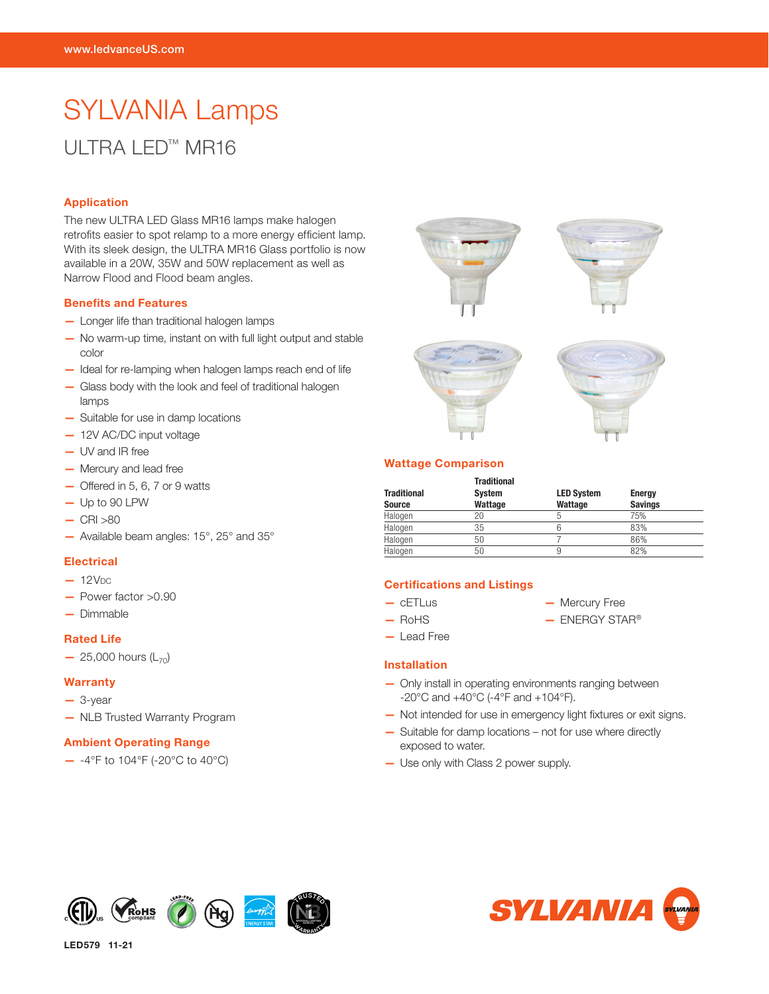# SYLVANIA Lamps ULTRA LED™ MR16

#### Application

The new ULTRA LED Glass MR16 lamps make halogen retrofits easier to spot relamp to a more energy efficient lamp. With its sleek design, the ULTRA MR16 Glass portfolio is now available in a 20W, 35W and 50W replacement as well as Narrow Flood and Flood beam angles.

## Benefits and Features

- Longer life than traditional halogen lamps
- No warm-up time, instant on with full light output and stable color
- Ideal for re-lamping when halogen lamps reach end of life
- Glass body with the look and feel of traditional halogen lamps
- Suitable for use in damp locations
- 12V AC/DC input voltage
- UV and IR free
- Mercury and lead free
- Offered in 5, 6, 7 or 9 watts
- Up to 90 LPW
- $-$  CRI  $>80$
- Available beam angles: 15°, 25° and 35°

# **Electrical**

- $-12V<sub>DC</sub>$
- Power factor >0.90
- Dimmable

#### Rated Life

 $-25,000$  hours ( $L_{70}$ )

#### **Warranty**

- 3-year
- NLB Trusted Warranty Program

#### Ambient Operating Range

 $-$  -4°F to 104°F (-20°C to 40°C)







#### Wattage Comparison

| <b>Traditional</b><br><b>Source</b> | <b>Traditional</b><br>System<br>Wattage | <b>LED System</b><br>Wattage | <b>Energy</b><br><b>Savings</b> |
|-------------------------------------|-----------------------------------------|------------------------------|---------------------------------|
| Halogen                             | 20                                      |                              | 75%                             |
| Halogen                             | 35                                      |                              | 83%                             |
| Halogen                             | 50                                      |                              | 86%                             |
| Halogen                             | 50                                      |                              | 82%                             |

# Certifications and Listings

- cETLus
- Mercury Free — ENERGY STAR®
- RoHS — Lead Free
- Installation
- Only install in operating environments ranging between -20°C and +40°C (-4°F and +104°F).
- Not intended for use in emergency light fixtures or exit signs.
- Suitable for damp locations not for use where directly exposed to water.
- Use only with Class 2 power supply.





LED579 11-21